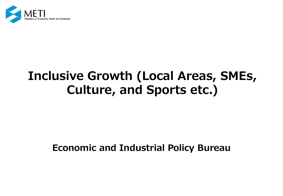

# **Inclusive Growth (Local Areas, SMEs, Culture, and Sports etc.)**

# **Economic and Industrial Policy Bureau**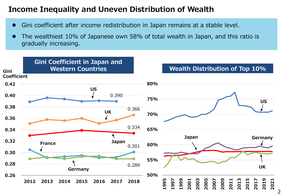### **Income Inequality and Uneven Distribution of Wealth**

- ⚫ Gini coefficient after income redistribution in Japan remains at a stable level.
- ⚫ The wealthiest 10% of Japanese own 58% of total wealth in Japan, and this ratio is gradually increasing.

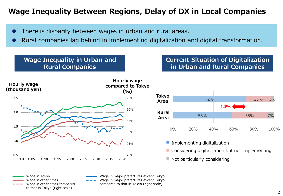### **Wage Inequality Between Regions, Delay of DX in Local Companies**

- There is disparity between wages in urban and rural areas.
- ⚫ Rural companies lag behind in implementing digitalization and digital transformation.

### **Wage Inequality in Urban and Rural Companies**

**Current Situation of Digitalization in Urban and Rural Companies**





- **I** Implementing digitalization
- **Considering digitalization but not implementing**
- Not particularly considering ٠

Wage in Tokyo Wage in other cities Wage in other cities compared to that in Tokyo (right scale)

Wage in major prefectures except Tokyo Wage in major prefectures except Tokyo compared to that in Tokyo (right scale)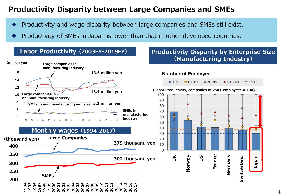### **Productivity Disparity between Large Companies and SMEs**

- ⚫ Productivity and wage disparity between large companies and SMEs still exist.
- ⚫ Productivity of SMEs in Japan is lower than that in other developed countries.



### **Labor Productivity(2003FY-2019FY) Productivity Disparity by Enterprise Size (Manufacturing Industry)**

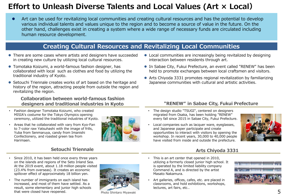## **Effort to Unleash Diverse Talents and Local Values (Art × Local)**

● Art can be used for revitalizing local communities and creating cultural resources and has the potential to develop various individual talents and values unique to the region and to become a source of value in the future. On the other hand, challenges exist in creating a system where a wide range of necessary funds are circulated including human resource development.

### **Creating Cultural Resources and Revitalizing Local Communities**

- ⚫ There are some cases where artists and designers have succeeded in creating new culture by utilizing local cultural resources.
- ⚫ Tomotaka Koizumi, a world-famous fashion designer, has collaborated with local such as clothes and food by utilizing the traditional industry of Kyoto.
- Setouchi Triennale creates works of art based on the heritage and history of the region, attracting people from outside the region and revitalizing the region.

#### **Collaboration between world-famous fashion designers and traditional industries in Kyoto**

- Fashion designer Tomotaka Koizumi, who created MISIA's costume for the Tokyo Olympics opening ceremony, utilized the traditional industries of Kyoto.
- Areas that he collaborated with vary from Kyo-Fan to 7-color raw Yatsuhashi with the image of frills, Yuba from Senmaruya, candy from Imanishi Confectionery, and roasted green tea from Harimaen.



- Since 2010, it has been held once every three years on the islands and regions of the Seto Inland Sea. At the 2019 event, about 1.18 million people visited (23.4% from overseas). It creates an economic spillover effect of approximately 18 billion yen.
- The number of immigrants on each island has increased, and most of them have settled. As a result, some elementary and junior high schools that were closed have reopened.



Photo Shintaro Miyawaki

- Local communities are increasingly being revitalized by designing interaction between residents through art.
- ⚫ In Sabae City, Fukui Prefecture, an event called "RENEW" has been held to promote exchanges between local craftsmen and visitors.
- ⚫ Arts Chiyoda 3331 promotes regional revitalization by familiarizing Japanese communities with cultural and artistic activities.

#### **"RENEW" in Sabae City, Fukui Prefecture**

- The design studio "TSUGI", centered on designers migrated from Osaka, has been holding "RENEW" every fall since 2015 in Sabae City, Fukui Prefecture.
- Local companies such as lacquer ware, eyeglasses, and Japanese paper participate and create opportunities to interact with visitors by opening the workshop. In recent years, 30,000 to 40,000 people have visited from inside and outside the prefecture.



#### **Arts Chiyoda 3331**

- This is an art center that opened in 2010, utilizing a formerly closed junior high school. It is operated by the limited liability company Command A, and is directed by the artist Masato Nakamura.
- Art galleries, offices, cafes, etc. are placed in classrooms, and hold exhibitions, workshops, lectures, art fairs, etc..

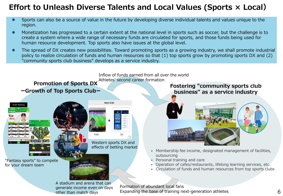## **Effort to Unleash Diverse Talents and Local Values (Sports × Local)**

- ⚫ Sports can also be a source of value in the future by developing diverse individual talents and values unique to the region.
- ⚫ Monetization has progressed to a certain extent at the national level in sports such as soccer, but the challenge is to create a system where a wide range of necessary funds are circulated for sports, and those funds being used for human resource development. Top sports also have issues at the global level.
- The spread of DX creates new possibilities. Toward promoting sports as a growing industry, we shall promote industrial policy to realize circulation of funds and human resources so that (1) top sports grow by promoting sports DX and (2) "community sports club business" develops as a service industry.

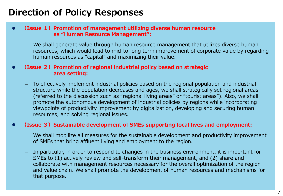# **Direction of Policy Responses**

- ⚫ **(Issue 1)Promotion of management utilizing diverse human resource as "Human Resource Management":**
	- We shall generate value through human resource management that utilizes diverse human resources, which would lead to mid-to-long term improvement of corporate value by regarding human resources as "capital" and maximizing their value.

#### ⚫ **(Issue 2)Promotion of regional industrial policy based on strategic area setting:**

– To effectively implement industrial policies based on the regional population and industrial structure while the population decreases and ages, we shall strategically set regional areas (referred to the discussion such as "regional living areas" or "tourist areas"). Also, we shall promote the autonomous development of industrial policies by regions while incorporating viewpoints of productivity improvement by digitalization, developing and securing human resources, and solving regional issues.

#### ⚫ **(Issue 3)Sustainable development of SMEs supporting local lives and employment:**

- We shall mobilize all measures for the sustainable development and productivity improvement of SMEs that bring affluent living and employment to the region.
- In particular, in order to respond to changes in the business environment, it is important for SMEs to (1) actively review and self-transform their management, and (2) share and collaborate with management resources necessary for the overall optimization of the region and value chain. We shall promote the development of human resources and mechanisms for that purpose.